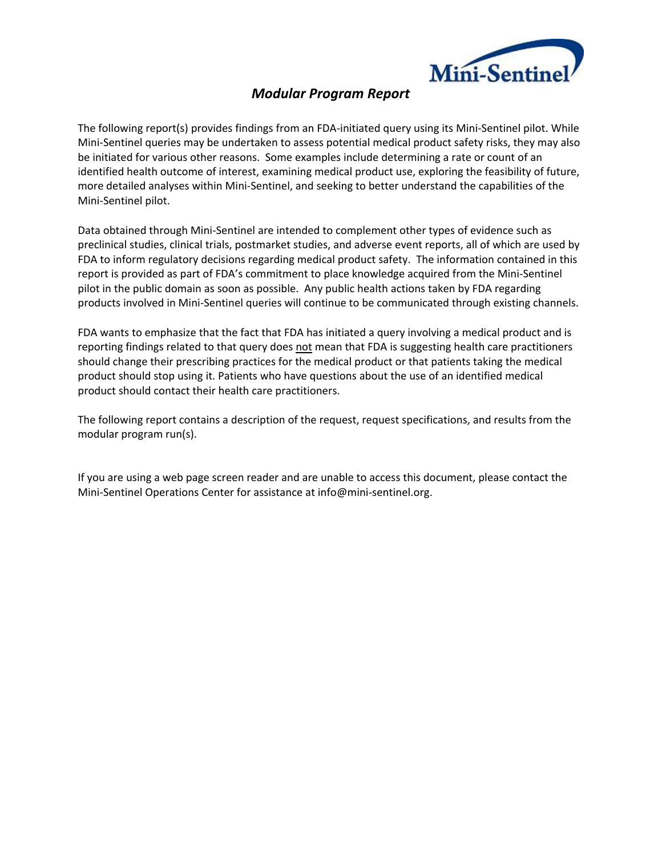

# *Modular Program Report*

The following report(s) provides findings from an FDA-initiated query using its Mini-Sentinel pilot. While Mini‐Sentinel queries may be undertaken to assess potential medical product safety risks, they may also be initiated for various other reasons. Some examples include determining a rate or count of an identified health outcome of interest, examining medical product use, exploring the feasibility of future, more detailed analyses within Mini‐Sentinel, and seeking to better understand the capabilities of the Mini‐Sentinel pilot.

Data obtained through Mini‐Sentinel are intended to complement other types of evidence such as preclinical studies, clinical trials, postmarket studies, and adverse event reports, all of which are used by FDA to inform regulatory decisions regarding medical product safety. The information contained in this report is provided as part of FDA's commitment to place knowledge acquired from the Mini‐Sentinel pilot in the public domain as soon as possible. Any public health actions taken by FDA regarding products involved in Mini‐Sentinel queries will continue to be communicated through existing channels.

FDA wants to emphasize that the fact that FDA has initiated a query involving a medical product and is reporting findings related to that query does not mean that FDA is suggesting health care practitioners should change their prescribing practices for the medical product or that patients taking the medical product should stop using it. Patients who have questions about the use of an identified medical product should contact their health care practitioners.

The following report contains a description of the request, request specifications, and results from the modular program run(s).

If you are using a web page screen reader and are unable to access this document, please contact the Mini‐Sentinel Operations Center for assistance at info@mini‐sentinel.org.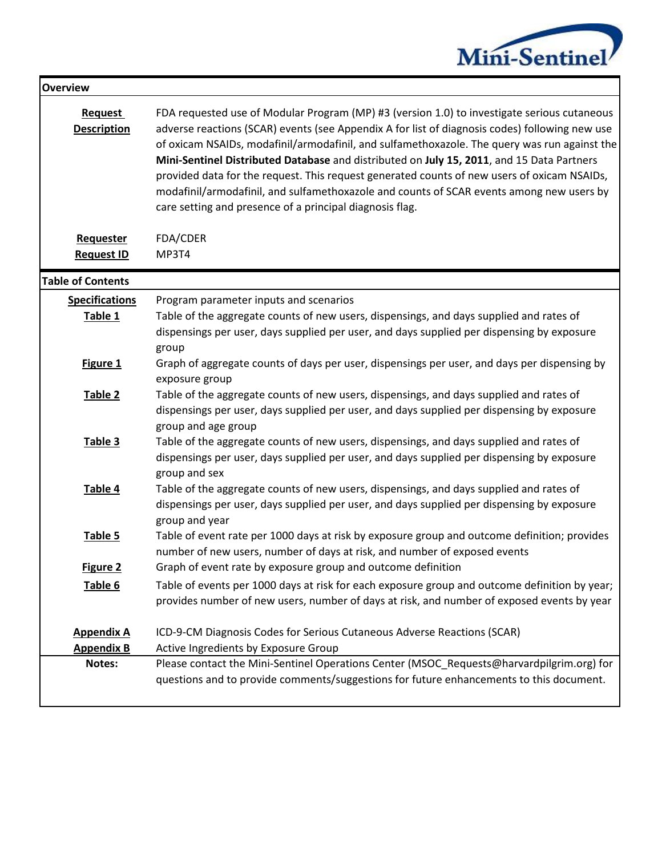

| <b>Overview</b>                      |                                                                                                                                                                                                                                                                                                                                                                                                                                                                                                                                                                                                                                                   |
|--------------------------------------|---------------------------------------------------------------------------------------------------------------------------------------------------------------------------------------------------------------------------------------------------------------------------------------------------------------------------------------------------------------------------------------------------------------------------------------------------------------------------------------------------------------------------------------------------------------------------------------------------------------------------------------------------|
| <b>Request</b><br><b>Description</b> | FDA requested use of Modular Program (MP) #3 (version 1.0) to investigate serious cutaneous<br>adverse reactions (SCAR) events (see Appendix A for list of diagnosis codes) following new use<br>of oxicam NSAIDs, modafinil/armodafinil, and sulfamethoxazole. The query was run against the<br>Mini-Sentinel Distributed Database and distributed on July 15, 2011, and 15 Data Partners<br>provided data for the request. This request generated counts of new users of oxicam NSAIDs,<br>modafinil/armodafinil, and sulfamethoxazole and counts of SCAR events among new users by<br>care setting and presence of a principal diagnosis flag. |
| Requester                            | FDA/CDER                                                                                                                                                                                                                                                                                                                                                                                                                                                                                                                                                                                                                                          |
| <b>Request ID</b>                    | MP3T4                                                                                                                                                                                                                                                                                                                                                                                                                                                                                                                                                                                                                                             |
| <b>Table of Contents</b>             |                                                                                                                                                                                                                                                                                                                                                                                                                                                                                                                                                                                                                                                   |
| <b>Specifications</b>                | Program parameter inputs and scenarios                                                                                                                                                                                                                                                                                                                                                                                                                                                                                                                                                                                                            |
| Table 1                              | Table of the aggregate counts of new users, dispensings, and days supplied and rates of                                                                                                                                                                                                                                                                                                                                                                                                                                                                                                                                                           |
|                                      | dispensings per user, days supplied per user, and days supplied per dispensing by exposure                                                                                                                                                                                                                                                                                                                                                                                                                                                                                                                                                        |
|                                      | group                                                                                                                                                                                                                                                                                                                                                                                                                                                                                                                                                                                                                                             |
| Figure 1                             | Graph of aggregate counts of days per user, dispensings per user, and days per dispensing by<br>exposure group                                                                                                                                                                                                                                                                                                                                                                                                                                                                                                                                    |
| Table 2                              | Table of the aggregate counts of new users, dispensings, and days supplied and rates of                                                                                                                                                                                                                                                                                                                                                                                                                                                                                                                                                           |
|                                      | dispensings per user, days supplied per user, and days supplied per dispensing by exposure<br>group and age group                                                                                                                                                                                                                                                                                                                                                                                                                                                                                                                                 |
| Table 3                              | Table of the aggregate counts of new users, dispensings, and days supplied and rates of                                                                                                                                                                                                                                                                                                                                                                                                                                                                                                                                                           |
|                                      | dispensings per user, days supplied per user, and days supplied per dispensing by exposure                                                                                                                                                                                                                                                                                                                                                                                                                                                                                                                                                        |
|                                      | group and sex                                                                                                                                                                                                                                                                                                                                                                                                                                                                                                                                                                                                                                     |
| Table 4                              | Table of the aggregate counts of new users, dispensings, and days supplied and rates of                                                                                                                                                                                                                                                                                                                                                                                                                                                                                                                                                           |
|                                      | dispensings per user, days supplied per user, and days supplied per dispensing by exposure                                                                                                                                                                                                                                                                                                                                                                                                                                                                                                                                                        |
|                                      | group and year                                                                                                                                                                                                                                                                                                                                                                                                                                                                                                                                                                                                                                    |
| Table 5                              | Table of event rate per 1000 days at risk by exposure group and outcome definition; provides<br>number of new users, number of days at risk, and number of exposed events                                                                                                                                                                                                                                                                                                                                                                                                                                                                         |
| <b>Figure 2</b>                      | Graph of event rate by exposure group and outcome definition                                                                                                                                                                                                                                                                                                                                                                                                                                                                                                                                                                                      |
| Table 6                              | Table of events per 1000 days at risk for each exposure group and outcome definition by year;                                                                                                                                                                                                                                                                                                                                                                                                                                                                                                                                                     |
|                                      | provides number of new users, number of days at risk, and number of exposed events by year                                                                                                                                                                                                                                                                                                                                                                                                                                                                                                                                                        |
| <b>Appendix A</b>                    | ICD-9-CM Diagnosis Codes for Serious Cutaneous Adverse Reactions (SCAR)                                                                                                                                                                                                                                                                                                                                                                                                                                                                                                                                                                           |
| <b>Appendix B</b>                    | Active Ingredients by Exposure Group                                                                                                                                                                                                                                                                                                                                                                                                                                                                                                                                                                                                              |
| Notes:                               | Please contact the Mini-Sentinel Operations Center (MSOC_Requests@harvardpilgrim.org) for                                                                                                                                                                                                                                                                                                                                                                                                                                                                                                                                                         |
|                                      | questions and to provide comments/suggestions for future enhancements to this document.                                                                                                                                                                                                                                                                                                                                                                                                                                                                                                                                                           |
|                                      |                                                                                                                                                                                                                                                                                                                                                                                                                                                                                                                                                                                                                                                   |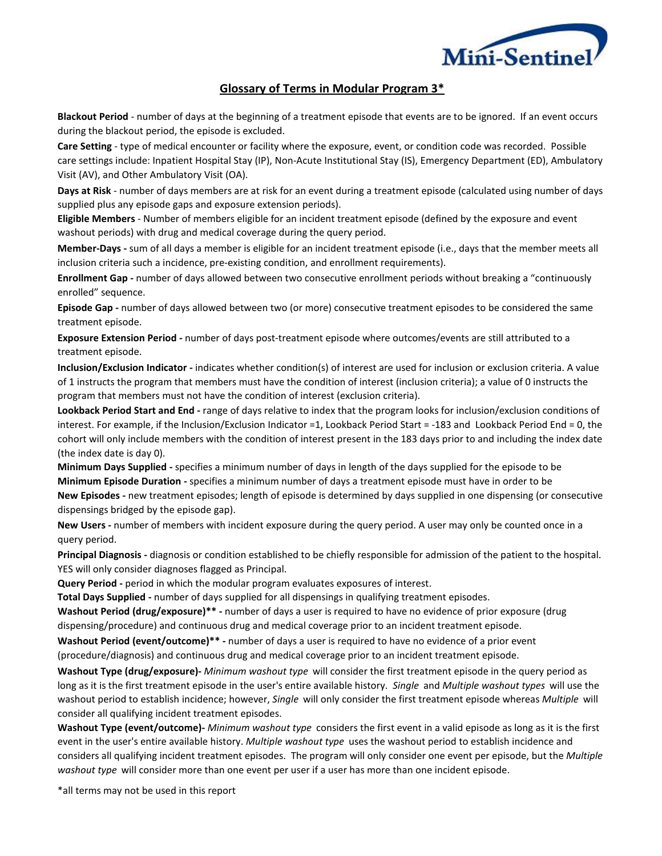

## **Glossary of Terms in Modular Program 3\***

**Blackout Period** - number of days at the beginning of a treatment episode that events are to be ignored. If an event occurs during the blackout period, the episode is excluded.

**Care Setting** - type of medical encounter or facility where the exposure, event, or condition code was recorded. Possible care settings include: Inpatient Hospital Stay (IP), Non-Acute Institutional Stay (IS), Emergency Department (ED), Ambulatory Visit (AV), and Other Ambulatory Visit (OA).

**Days at Risk** - number of days members are at risk for an event during a treatment episode (calculated using number of days supplied plus any episode gaps and exposure extension periods).

**Eligible Members** - Number of members eligible for an incident treatment episode (defined by the exposure and event washout periods) with drug and medical coverage during the query period.

**Member-Days -** sum of all days a member is eligible for an incident treatment episode (i.e., days that the member meets all inclusion criteria such a incidence, pre-existing condition, and enrollment requirements).

**Enrollment Gap -** number of days allowed between two consecutive enrollment periods without breaking a "continuously enrolled" sequence.

**Episode Gap -** number of days allowed between two (or more) consecutive treatment episodes to be considered the same treatment episode.

**Exposure Extension Period -** number of days post-treatment episode where outcomes/events are still attributed to a treatment episode.

**Inclusion/Exclusion Indicator -** indicates whether condition(s) of interest are used for inclusion or exclusion criteria. A value of 1 instructs the program that members must have the condition of interest (inclusion criteria); a value of 0 instructs the program that members must not have the condition of interest (exclusion criteria).

**Lookback Period Start and End -** range of days relative to index that the program looks for inclusion/exclusion conditions of interest. For example, if the Inclusion/Exclusion Indicator =1, Lookback Period Start = -183 and Lookback Period End = 0, the cohort will only include members with the condition of interest present in the 183 days prior to and including the index date (the index date is day 0).

**Minimum Days Supplied -** specifies a minimum number of days in length of the days supplied for the episode to be **Minimum Episode Duration -** specifies a minimum number of days a treatment episode must have in order to be **New Episodes -** new treatment episodes; length of episode is determined by days supplied in one dispensing (or consecutive dispensings bridged by the episode gap).

**New Users -** number of members with incident exposure during the query period. A user may only be counted once in a query period.

**Principal Diagnosis -** diagnosis or condition established to be chiefly responsible for admission of the patient to the hospital. YES will only consider diagnoses flagged as Principal.

Query Period - period in which the modular program evaluates exposures of interest.

**Total Days Supplied -** number of days supplied for all dispensings in qualifying treatment episodes.

**Washout Period (drug/exposure)\*\* -** number of days a user is required to have no evidence of prior exposure (drug dispensing/procedure) and continuous drug and medical coverage prior to an incident treatment episode.

**Washout Period (event/outcome)\*\* -** number of days a user is required to have no evidence of a prior event (procedure/diagnosis) and continuous drug and medical coverage prior to an incident treatment episode.

**Washout Type (drug/exposure)-** *Minimum washout type* will consider the first treatment episode in the query period as long as it is the first treatment episode in the user's entire available history. *Single* and *Multiple washout types* will use the washout period to establish incidence; however, *Single* will only consider the first treatment episode whereas *Multiple* will consider all qualifying incident treatment episodes.

**Washout Type (event/outcome)-** *Minimum washout type* considers the first event in a valid episode as long as it is the first event in the user's entire available history. *Multiple washout type* uses the washout period to establish incidence and considers all qualifying incident treatment episodes. The program will only consider one event per episode, but the *Multiple washout type* will consider more than one event per user if a user has more than one incident episode.

\*all terms may not be used in this report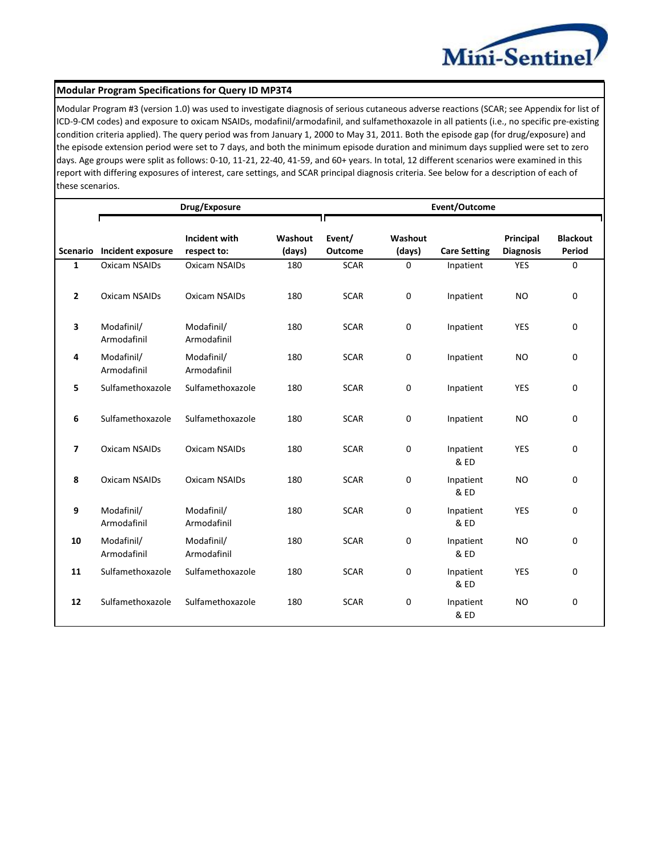

#### **Modular Program Specifications for Query ID MP3T4**

Modular Program #3 (version 1.0) was used to investigate diagnosis of serious cutaneous adverse reactions (SCAR; see Appendix for list of ICD-9-CM codes) and exposure to oxicam NSAIDs, modafinil/armodafinil, and sulfamethoxazole in all patients (i.e., no specific pre-existing condition criteria applied). The query period was from January 1, 2000 to May 31, 2011. Both the episode gap (for drug/exposure) and the episode extension period were set to 7 days, and both the minimum episode duration and minimum days supplied were set to zero days. Age groups were split as follows: 0-10, 11-21, 22-40, 41-59, and 60+ years. In total, 12 different scenarios were examined in this report with differing exposures of interest, care settings, and SCAR principal diagnosis criteria. See below for a description of each of these scenarios.

|                |                            | Drug/Exposure             |         | Event/Outcome  |             |                     |                  |                 |
|----------------|----------------------------|---------------------------|---------|----------------|-------------|---------------------|------------------|-----------------|
|                |                            | Incident with             | Washout | Event/         | Washout     |                     | Principal        | <b>Blackout</b> |
|                | Scenario Incident exposure | respect to:               | (days)  | <b>Outcome</b> | (days)      | <b>Care Setting</b> | <b>Diagnosis</b> | Period          |
| $\mathbf{1}$   | <b>Oxicam NSAIDs</b>       | <b>Oxicam NSAIDs</b>      | 180     | <b>SCAR</b>    | $\mathbf 0$ | Inpatient           | <b>YES</b>       | $\mathbf 0$     |
| $\overline{2}$ | <b>Oxicam NSAIDs</b>       | Oxicam NSAIDs             | 180     | <b>SCAR</b>    | 0           | Inpatient           | <b>NO</b>        | 0               |
| 3              | Modafinil/<br>Armodafinil  | Modafinil/<br>Armodafinil | 180     | <b>SCAR</b>    | 0           | Inpatient           | <b>YES</b>       | 0               |
| 4              | Modafinil/<br>Armodafinil  | Modafinil/<br>Armodafinil | 180     | <b>SCAR</b>    | 0           | Inpatient           | <b>NO</b>        | 0               |
| 5              | Sulfamethoxazole           | Sulfamethoxazole          | 180     | <b>SCAR</b>    | 0           | Inpatient           | <b>YES</b>       | $\Omega$        |
| 6              | Sulfamethoxazole           | Sulfamethoxazole          | 180     | <b>SCAR</b>    | 0           | Inpatient           | <b>NO</b>        | 0               |
| 7              | <b>Oxicam NSAIDs</b>       | <b>Oxicam NSAIDs</b>      | 180     | <b>SCAR</b>    | 0           | Inpatient<br>& ED   | <b>YES</b>       | 0               |
| 8              | <b>Oxicam NSAIDs</b>       | <b>Oxicam NSAIDs</b>      | 180     | <b>SCAR</b>    | 0           | Inpatient<br>& ED   | <b>NO</b>        | 0               |
| 9              | Modafinil/<br>Armodafinil  | Modafinil/<br>Armodafinil | 180     | <b>SCAR</b>    | 0           | Inpatient<br>& ED   | <b>YES</b>       | 0               |
| 10             | Modafinil/<br>Armodafinil  | Modafinil/<br>Armodafinil | 180     | <b>SCAR</b>    | 0           | Inpatient<br>& ED   | <b>NO</b>        | 0               |
| 11             | Sulfamethoxazole           | Sulfamethoxazole          | 180     | <b>SCAR</b>    | 0           | Inpatient<br>& ED   | <b>YES</b>       | 0               |
| 12             | Sulfamethoxazole           | Sulfamethoxazole          | 180     | <b>SCAR</b>    | 0           | Inpatient<br>& ED   | <b>NO</b>        | $\Omega$        |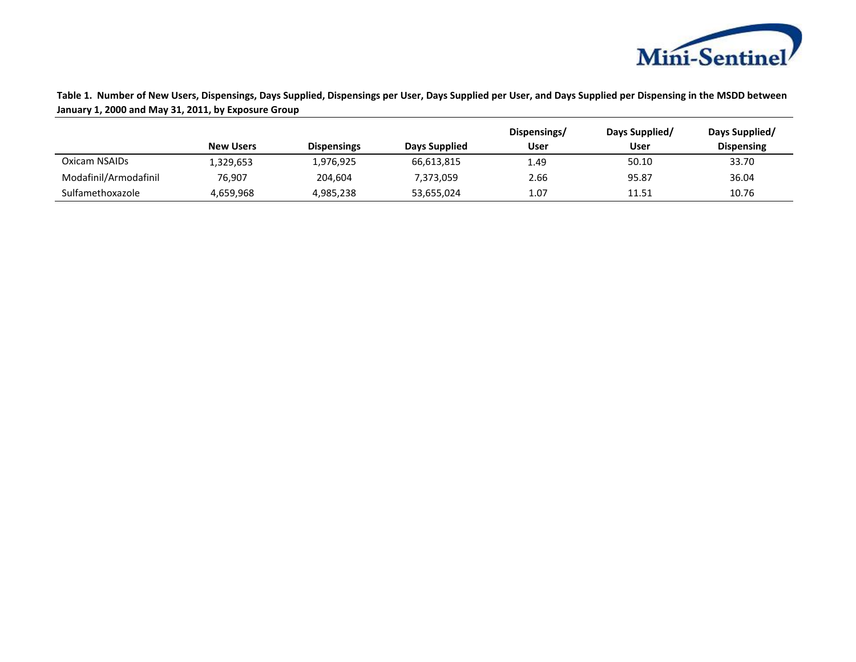

**Table 1. Number of New Users, Dispensings, Days Supplied, Dispensings per User, Days Supplied per User, and Days Supplied per Dispensing in the MSDD between January 1, 2000 and May 31, 2011, by Exposure Group**

|                       |                  |                    |               | Dispensings/ | Days Supplied/ | Days Supplied/    |
|-----------------------|------------------|--------------------|---------------|--------------|----------------|-------------------|
|                       | <b>New Users</b> | <b>Dispensings</b> | Days Supplied | User         | User           | <b>Dispensing</b> |
| Oxicam NSAIDs         | 1,329,653        | 1,976,925          | 66,613,815    | 1.49         | 50.10          | 33.70             |
| Modafinil/Armodafinil | 76,907           | 204,604            | 7,373,059     | 2.66         | 95.87          | 36.04             |
| Sulfamethoxazole      | 4,659,968        | 4,985,238          | 53,655,024    | 1.07         | 11.51          | 10.76             |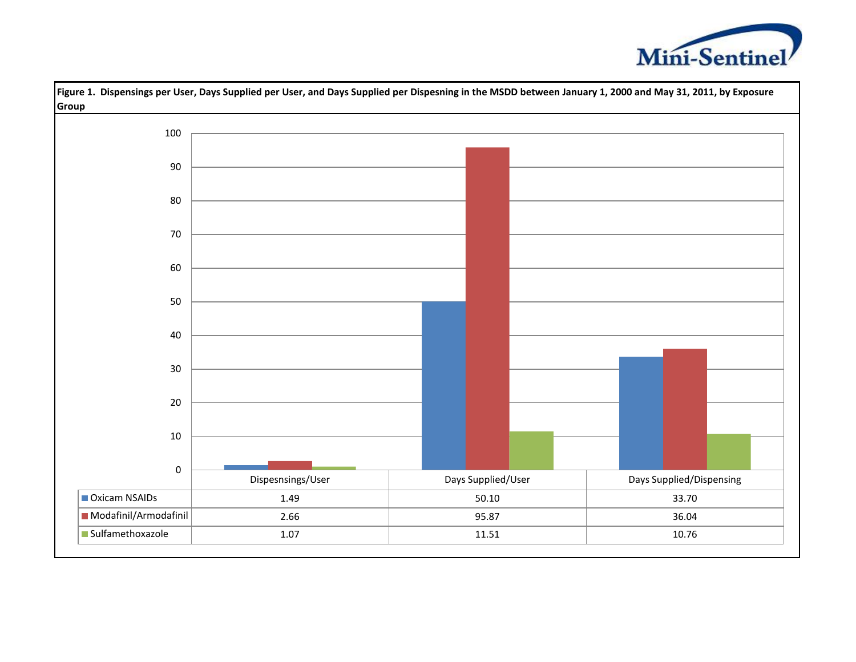



**Figure 1. Dispensings per User, Days Supplied per User, and Days Supplied per Dispesning in the MSDD between January 1, 2000 and May 31, 2011, by Exposure**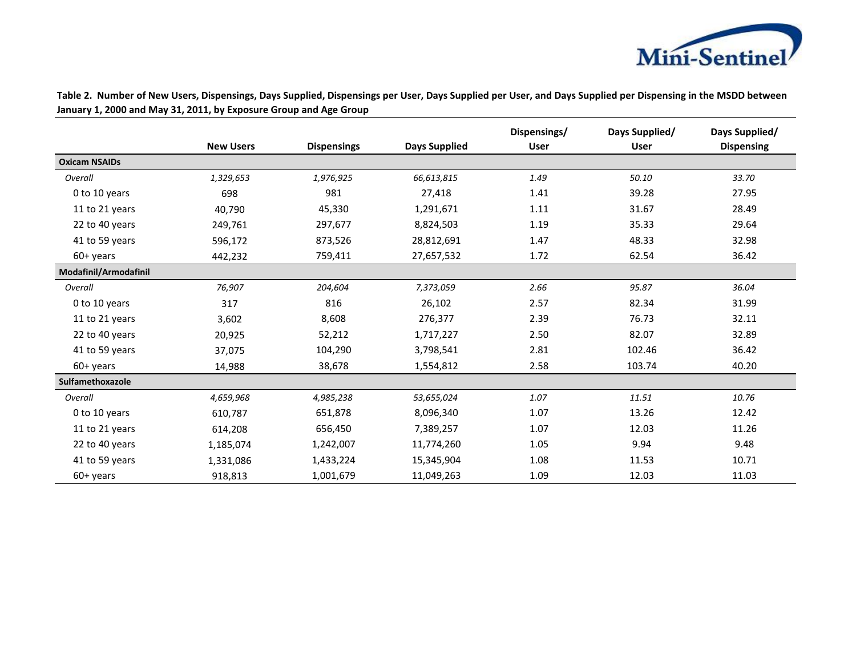

**Table 2. Number of New Users, Dispensings, Days Supplied, Dispensings per User, Days Supplied per User, and Days Supplied per Dispensing in the MSDD between January 1, 2000 and May 31, 2011, by Exposure Group and Age Group**

|                       |                  |                    |                      | Dispensings/ | Days Supplied/ | Days Supplied/    |
|-----------------------|------------------|--------------------|----------------------|--------------|----------------|-------------------|
|                       | <b>New Users</b> | <b>Dispensings</b> | <b>Days Supplied</b> | <b>User</b>  | <b>User</b>    | <b>Dispensing</b> |
| <b>Oxicam NSAIDs</b>  |                  |                    |                      |              |                |                   |
| Overall               | 1,329,653        | 1,976,925          | 66,613,815           | 1.49         | 50.10          | 33.70             |
| 0 to 10 years         | 698              | 981                | 27,418               | 1.41         | 39.28          | 27.95             |
| 11 to 21 years        | 40,790           | 45,330             | 1,291,671            | 1.11         | 31.67          | 28.49             |
| 22 to 40 years        | 249,761          | 297,677            | 8,824,503            | 1.19         | 35.33          | 29.64             |
| 41 to 59 years        | 596,172          | 873,526            | 28,812,691           | 1.47         | 48.33          | 32.98             |
| 60+ years             | 442,232          | 759,411            | 27,657,532           | 1.72         | 62.54          | 36.42             |
| Modafinil/Armodafinil |                  |                    |                      |              |                |                   |
| Overall               | 76,907           | 204,604            | 7,373,059            | 2.66         | 95.87          | 36.04             |
| 0 to 10 years         | 317              | 816                | 26,102               | 2.57         | 82.34          | 31.99             |
| 11 to 21 years        | 3,602            | 8,608              | 276,377              | 2.39         | 76.73          | 32.11             |
| 22 to 40 years        | 20,925           | 52,212             | 1,717,227            | 2.50         | 82.07          | 32.89             |
| 41 to 59 years        | 37,075           | 104,290            | 3,798,541            | 2.81         | 102.46         | 36.42             |
| $60+vears$            | 14,988           | 38,678             | 1,554,812            | 2.58         | 103.74         | 40.20             |
| Sulfamethoxazole      |                  |                    |                      |              |                |                   |
| Overall               | 4,659,968        | 4,985,238          | 53,655,024           | 1.07         | 11.51          | 10.76             |
| 0 to 10 years         | 610,787          | 651,878            | 8,096,340            | 1.07         | 13.26          | 12.42             |
| 11 to 21 years        | 614,208          | 656,450            | 7,389,257            | 1.07         | 12.03          | 11.26             |
| 22 to 40 years        | 1,185,074        | 1,242,007          | 11,774,260           | 1.05         | 9.94           | 9.48              |
| 41 to 59 years        | 1,331,086        | 1,433,224          | 15,345,904           | 1.08         | 11.53          | 10.71             |
| 60+ years             | 918,813          | 1,001,679          | 11,049,263           | 1.09         | 12.03          | 11.03             |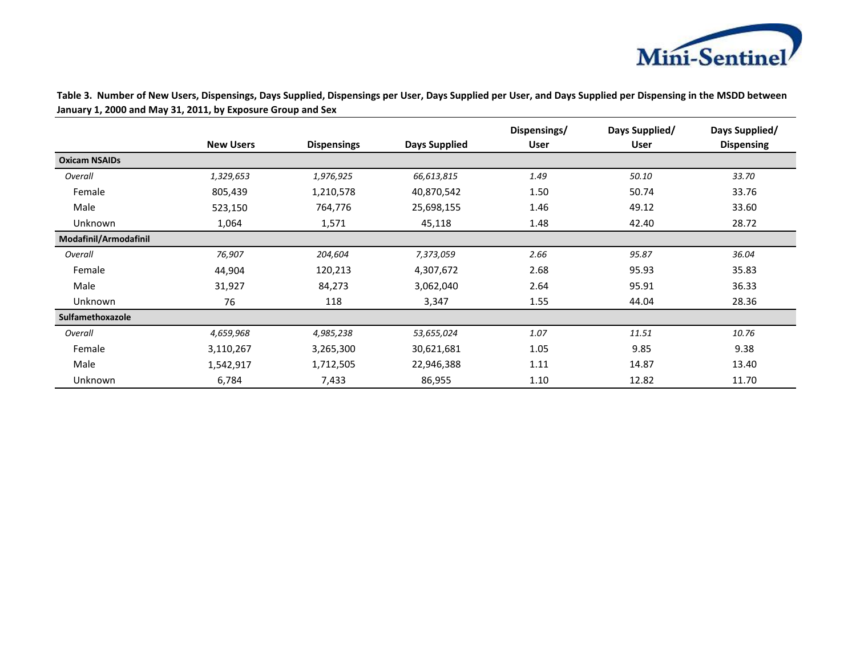

**Table 3. Number of New Users, Dispensings, Days Supplied, Dispensings per User, Days Supplied per User, and Days Supplied per Dispensing in the MSDD between January 1, 2000 and May 31, 2011, by Exposure Group and Sex**

|                       |                  |                    |               | Dispensings/ | Days Supplied/ | Days Supplied/    |
|-----------------------|------------------|--------------------|---------------|--------------|----------------|-------------------|
|                       | <b>New Users</b> | <b>Dispensings</b> | Days Supplied | <b>User</b>  | <b>User</b>    | <b>Dispensing</b> |
| <b>Oxicam NSAIDs</b>  |                  |                    |               |              |                |                   |
| Overall               | 1,329,653        | 1,976,925          | 66,613,815    | 1.49         | 50.10          | 33.70             |
| Female                | 805,439          | 1,210,578          | 40,870,542    | 1.50         | 50.74          | 33.76             |
| Male                  | 523,150          | 764,776            | 25,698,155    | 1.46         | 49.12          | 33.60             |
| Unknown               | 1,064            | 1,571              | 45,118        | 1.48         | 42.40          | 28.72             |
| Modafinil/Armodafinil |                  |                    |               |              |                |                   |
| Overall               | 76,907           | 204,604            | 7,373,059     | 2.66         | 95.87          | 36.04             |
| Female                | 44,904           | 120,213            | 4,307,672     | 2.68         | 95.93          | 35.83             |
| Male                  | 31,927           | 84,273             | 3,062,040     | 2.64         | 95.91          | 36.33             |
| Unknown               | 76               | 118                | 3,347         | 1.55         | 44.04          | 28.36             |
| Sulfamethoxazole      |                  |                    |               |              |                |                   |
| Overall               | 4,659,968        | 4,985,238          | 53,655,024    | 1.07         | 11.51          | 10.76             |
| Female                | 3,110,267        | 3,265,300          | 30,621,681    | 1.05         | 9.85           | 9.38              |
| Male                  | 1,542,917        | 1,712,505          | 22,946,388    | 1.11         | 14.87          | 13.40             |
| Unknown               | 6,784            | 7,433              | 86,955        | 1.10         | 12.82          | 11.70             |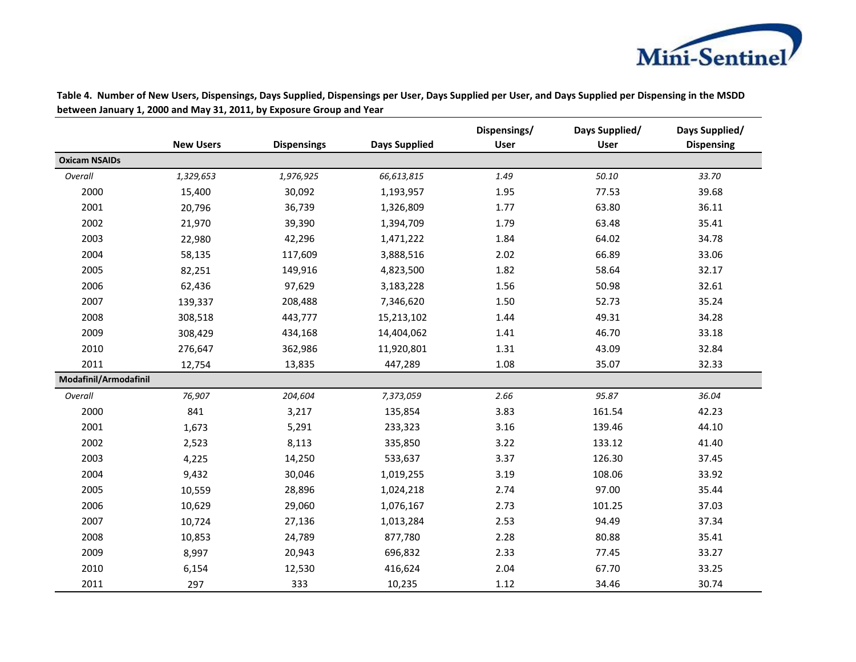

|                       |                  |                    |                      | Dispensings/ | Days Supplied/ | Days Supplied/    |
|-----------------------|------------------|--------------------|----------------------|--------------|----------------|-------------------|
|                       | <b>New Users</b> | <b>Dispensings</b> | <b>Days Supplied</b> | <b>User</b>  | <b>User</b>    | <b>Dispensing</b> |
| <b>Oxicam NSAIDs</b>  |                  |                    |                      |              |                |                   |
| Overall               | 1,329,653        | 1,976,925          | 66,613,815           | 1.49         | 50.10          | 33.70             |
| 2000                  | 15,400           | 30,092             | 1,193,957            | 1.95         | 77.53          | 39.68             |
| 2001                  | 20,796           | 36,739             | 1,326,809            | 1.77         | 63.80          | 36.11             |
| 2002                  | 21,970           | 39,390             | 1,394,709            | 1.79         | 63.48          | 35.41             |
| 2003                  | 22,980           | 42,296             | 1,471,222            | 1.84         | 64.02          | 34.78             |
| 2004                  | 58,135           | 117,609            | 3,888,516            | 2.02         | 66.89          | 33.06             |
| 2005                  | 82,251           | 149,916            | 4,823,500            | 1.82         | 58.64          | 32.17             |
| 2006                  | 62,436           | 97,629             | 3,183,228            | 1.56         | 50.98          | 32.61             |
| 2007                  | 139,337          | 208,488            | 7,346,620            | 1.50         | 52.73          | 35.24             |
| 2008                  | 308,518          | 443,777            | 15,213,102           | 1.44         | 49.31          | 34.28             |
| 2009                  | 308,429          | 434,168            | 14,404,062           | 1.41         | 46.70          | 33.18             |
| 2010                  | 276,647          | 362,986            | 11,920,801           | 1.31         | 43.09          | 32.84             |
| 2011                  | 12,754           | 13,835             | 447,289              | 1.08         | 35.07          | 32.33             |
| Modafinil/Armodafinil |                  |                    |                      |              |                |                   |
| Overall               | 76,907           | 204,604            | 7,373,059            | 2.66         | 95.87          | 36.04             |
| 2000                  | 841              | 3,217              | 135,854              | 3.83         | 161.54         | 42.23             |
| 2001                  | 1,673            | 5,291              | 233,323              | 3.16         | 139.46         | 44.10             |
| 2002                  | 2,523            | 8,113              | 335,850              | 3.22         | 133.12         | 41.40             |
| 2003                  | 4,225            | 14,250             | 533,637              | 3.37         | 126.30         | 37.45             |
| 2004                  | 9,432            | 30,046             | 1,019,255            | 3.19         | 108.06         | 33.92             |
| 2005                  | 10,559           | 28,896             | 1,024,218            | 2.74         | 97.00          | 35.44             |
| 2006                  | 10,629           | 29,060             | 1,076,167            | 2.73         | 101.25         | 37.03             |
| 2007                  | 10,724           | 27,136             | 1,013,284            | 2.53         | 94.49          | 37.34             |
| 2008                  | 10,853           | 24,789             | 877,780              | 2.28         | 80.88          | 35.41             |
| 2009                  | 8,997            | 20,943             | 696,832              | 2.33         | 77.45          | 33.27             |
| 2010                  | 6,154            | 12,530             | 416,624              | 2.04         | 67.70          | 33.25             |
| 2011                  | 297              | 333                | 10,235               | 1.12         | 34.46          | 30.74             |

**Table 4. Number of New Users, Dispensings, Days Supplied, Dispensings per User, Days Supplied per User, and Days Supplied per Dispensing in the MSDD between January 1, 2000 and May 31, 2011, by Exposure Group and Year**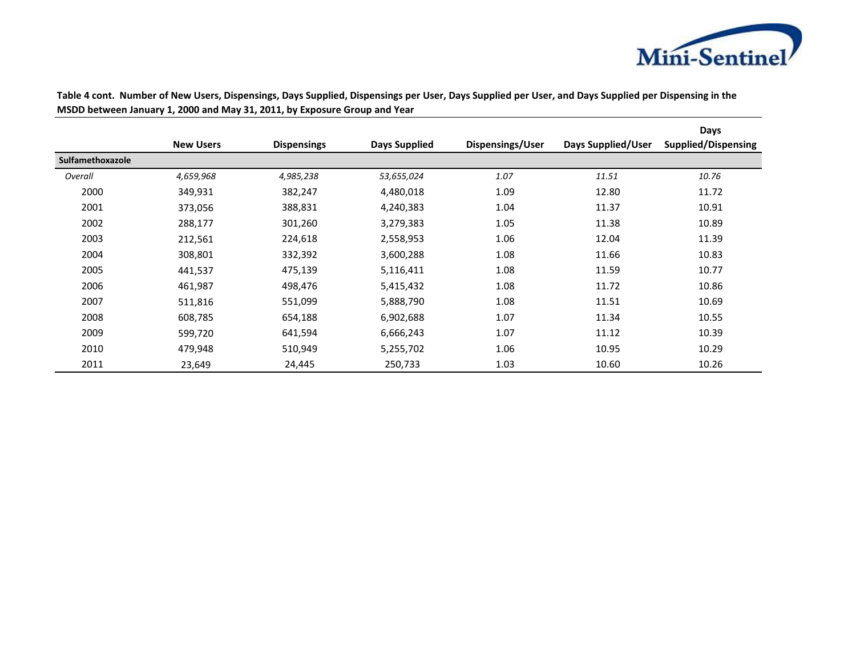

|                  |                  |                    |               |                  |                    | Days                       |
|------------------|------------------|--------------------|---------------|------------------|--------------------|----------------------------|
|                  | <b>New Users</b> | <b>Dispensings</b> | Days Supplied | Dispensings/User | Days Supplied/User | <b>Supplied/Dispensing</b> |
| Sulfamethoxazole |                  |                    |               |                  |                    |                            |
| Overall          | 4,659,968        | 4,985,238          | 53,655,024    | 1.07             | 11.51              | 10.76                      |
| 2000             | 349,931          | 382,247            | 4,480,018     | 1.09             | 12.80              | 11.72                      |
| 2001             | 373,056          | 388,831            | 4,240,383     | 1.04             | 11.37              | 10.91                      |
| 2002             | 288,177          | 301,260            | 3,279,383     | 1.05             | 11.38              | 10.89                      |
| 2003             | 212,561          | 224,618            | 2,558,953     | 1.06             | 12.04              | 11.39                      |
| 2004             | 308,801          | 332,392            | 3,600,288     | 1.08             | 11.66              | 10.83                      |
| 2005             | 441,537          | 475,139            | 5,116,411     | 1.08             | 11.59              | 10.77                      |
| 2006             | 461,987          | 498,476            | 5,415,432     | 1.08             | 11.72              | 10.86                      |
| 2007             | 511,816          | 551,099            | 5,888,790     | 1.08             | 11.51              | 10.69                      |
| 2008             | 608,785          | 654,188            | 6,902,688     | 1.07             | 11.34              | 10.55                      |
| 2009             | 599,720          | 641,594            | 6,666,243     | 1.07             | 11.12              | 10.39                      |
| 2010             | 479,948          | 510,949            | 5,255,702     | 1.06             | 10.95              | 10.29                      |
| 2011             | 23,649           | 24,445             | 250,733       | 1.03             | 10.60              | 10.26                      |

**Table 4 cont. Number of New Users, Dispensings, Days Supplied, Dispensings per User, Days Supplied per User, and Days Supplied per Dispensing in the MSDD between January 1, 2000 and May 31, 2011, by Exposure Group and Year**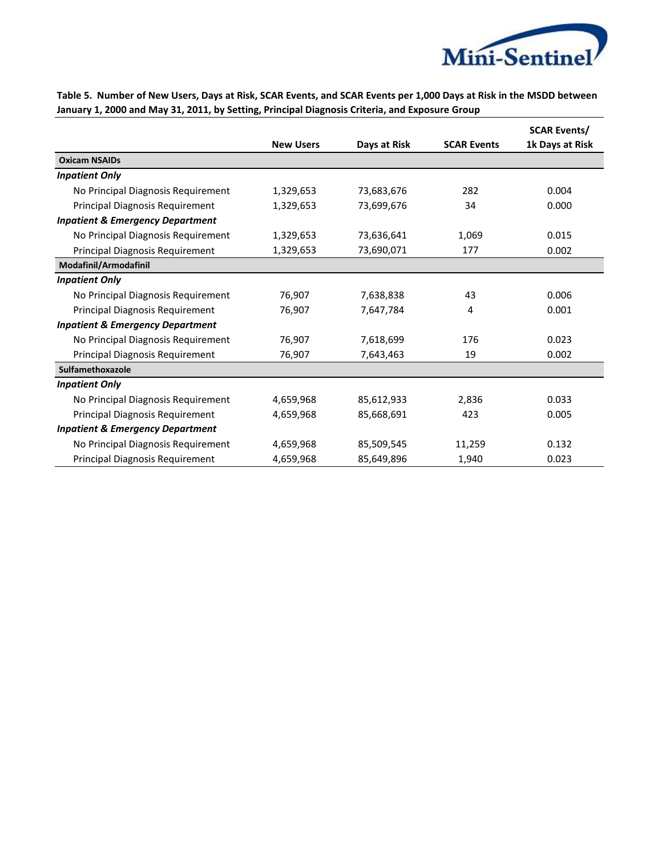

|                                             |                  |              |                    | <b>SCAR Events/</b> |
|---------------------------------------------|------------------|--------------|--------------------|---------------------|
|                                             | <b>New Users</b> | Days at Risk | <b>SCAR Events</b> | 1k Days at Risk     |
| <b>Oxicam NSAIDs</b>                        |                  |              |                    |                     |
| <b>Inpatient Only</b>                       |                  |              |                    |                     |
| No Principal Diagnosis Requirement          | 1,329,653        | 73,683,676   | 282                | 0.004               |
| <b>Principal Diagnosis Requirement</b>      | 1,329,653        | 73,699,676   | 34                 | 0.000               |
| <b>Inpatient &amp; Emergency Department</b> |                  |              |                    |                     |
| No Principal Diagnosis Requirement          | 1,329,653        | 73,636,641   | 1,069              | 0.015               |
| Principal Diagnosis Requirement             | 1,329,653        | 73,690,071   | 177                | 0.002               |
| Modafinil/Armodafinil                       |                  |              |                    |                     |
| <b>Inpatient Only</b>                       |                  |              |                    |                     |
| No Principal Diagnosis Requirement          | 76,907           | 7,638,838    | 43                 | 0.006               |
| Principal Diagnosis Requirement             | 76,907           | 7,647,784    | 4                  | 0.001               |
| <b>Inpatient &amp; Emergency Department</b> |                  |              |                    |                     |
| No Principal Diagnosis Requirement          | 76,907           | 7,618,699    | 176                | 0.023               |
| Principal Diagnosis Requirement             | 76,907           | 7,643,463    | 19                 | 0.002               |
| Sulfamethoxazole                            |                  |              |                    |                     |
| <b>Inpatient Only</b>                       |                  |              |                    |                     |
| No Principal Diagnosis Requirement          | 4,659,968        | 85,612,933   | 2,836              | 0.033               |
| Principal Diagnosis Requirement             | 4,659,968        | 85,668,691   | 423                | 0.005               |
| <b>Inpatient &amp; Emergency Department</b> |                  |              |                    |                     |
| No Principal Diagnosis Requirement          | 4,659,968        | 85,509,545   | 11,259             | 0.132               |
| Principal Diagnosis Requirement             | 4,659,968        | 85,649,896   | 1,940              | 0.023               |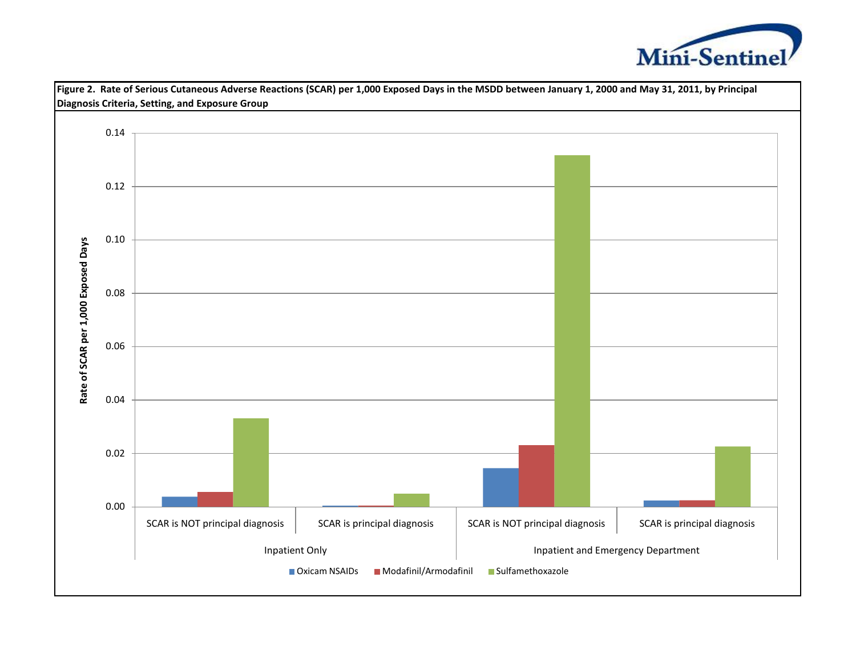

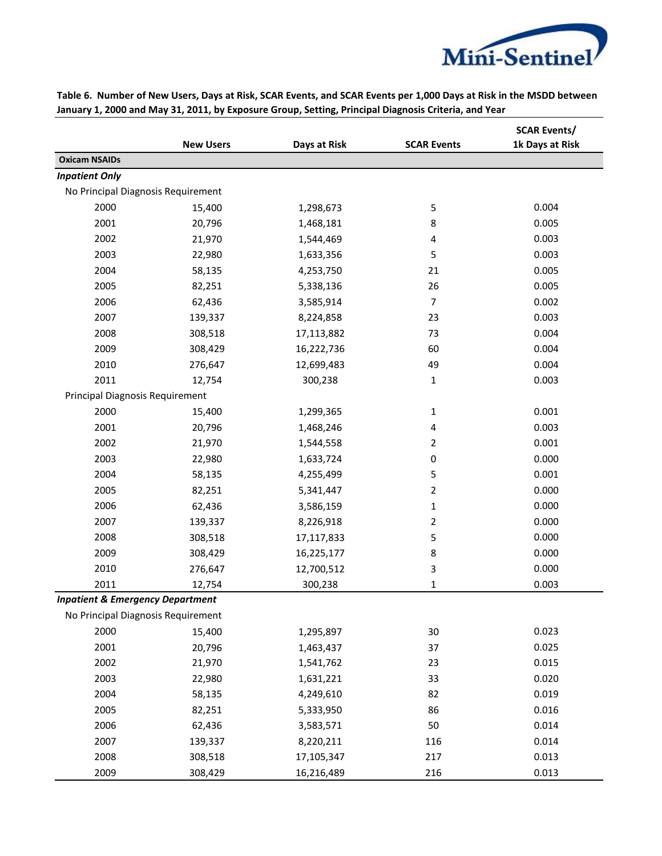

|                                             | <b>New Users</b> | Days at Risk | <b>SCAR Events</b> | <b>SCAR Events/</b><br>1k Days at Risk |
|---------------------------------------------|------------------|--------------|--------------------|----------------------------------------|
| <b>Oxicam NSAIDs</b>                        |                  |              |                    |                                        |
| <b>Inpatient Only</b>                       |                  |              |                    |                                        |
| No Principal Diagnosis Requirement          |                  |              |                    |                                        |
| 2000                                        | 15,400           | 1,298,673    | 5                  | 0.004                                  |
| 2001                                        | 20,796           | 1,468,181    | 8                  | 0.005                                  |
| 2002                                        | 21,970           | 1,544,469    | 4                  | 0.003                                  |
| 2003                                        | 22,980           | 1,633,356    | 5                  | 0.003                                  |
| 2004                                        | 58,135           | 4,253,750    | 21                 | 0.005                                  |
| 2005                                        | 82,251           | 5,338,136    | 26                 | 0.005                                  |
| 2006                                        | 62,436           | 3,585,914    | $\overline{7}$     | 0.002                                  |
| 2007                                        | 139,337          | 8,224,858    | 23                 | 0.003                                  |
| 2008                                        | 308,518          | 17,113,882   | 73                 | 0.004                                  |
| 2009                                        | 308,429          | 16,222,736   | 60                 | 0.004                                  |
| 2010                                        | 276,647          | 12,699,483   | 49                 | 0.004                                  |
| 2011                                        | 12,754           | 300,238      | 1                  | 0.003                                  |
| Principal Diagnosis Requirement             |                  |              |                    |                                        |
| 2000                                        | 15,400           | 1,299,365    | 1                  | 0.001                                  |
| 2001                                        | 20,796           | 1,468,246    | 4                  | 0.003                                  |
| 2002                                        | 21,970           | 1,544,558    | 2                  | 0.001                                  |
| 2003                                        | 22,980           | 1,633,724    | 0                  | 0.000                                  |
| 2004                                        | 58,135           | 4,255,499    | 5                  | 0.001                                  |
| 2005                                        | 82,251           | 5,341,447    | 2                  | 0.000                                  |
| 2006                                        | 62,436           | 3,586,159    | 1                  | 0.000                                  |
| 2007                                        | 139,337          | 8,226,918    | 2                  | 0.000                                  |
| 2008                                        | 308,518          | 17,117,833   | 5                  | 0.000                                  |
| 2009                                        | 308,429          | 16,225,177   | 8                  | 0.000                                  |
| 2010                                        | 276,647          | 12,700,512   | 3                  | 0.000                                  |
| 2011                                        | 12,754           | 300,238      | 1                  | 0.003                                  |
| <b>Inpatient &amp; Emergency Department</b> |                  |              |                    |                                        |
| No Principal Diagnosis Requirement          |                  |              |                    |                                        |
| 2000                                        | 15,400           | 1,295,897    | 30                 | 0.023                                  |
| 2001                                        | 20,796           | 1,463,437    | 37                 | 0.025                                  |
| 2002                                        | 21,970           | 1,541,762    | 23                 | 0.015                                  |
| 2003                                        | 22,980           | 1,631,221    | 33                 | 0.020                                  |
| 2004                                        | 58,135           | 4,249,610    | 82                 | 0.019                                  |
| 2005                                        | 82,251           | 5,333,950    | 86                 | 0.016                                  |
| 2006                                        | 62,436           | 3,583,571    | 50                 | 0.014                                  |
| 2007                                        | 139,337          | 8,220,211    | 116                | 0.014                                  |
| 2008                                        | 308,518          | 17,105,347   | 217                | 0.013                                  |
| 2009                                        | 308,429          | 16,216,489   | 216                | 0.013                                  |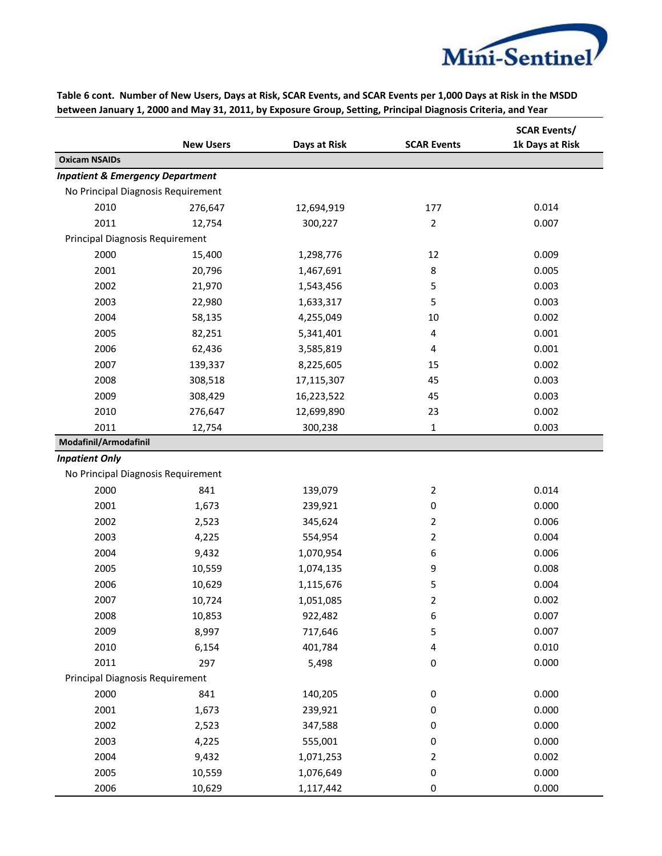

|                                             | <b>New Users</b> | Days at Risk | <b>SCAR Events</b> | <b>SCAR Events/</b><br>1k Days at Risk |
|---------------------------------------------|------------------|--------------|--------------------|----------------------------------------|
| <b>Oxicam NSAIDs</b>                        |                  |              |                    |                                        |
| <b>Inpatient &amp; Emergency Department</b> |                  |              |                    |                                        |
| No Principal Diagnosis Requirement          |                  |              |                    |                                        |
| 2010                                        | 276,647          | 12,694,919   | 177                | 0.014                                  |
| 2011                                        | 12,754           | 300,227      | $\overline{2}$     | 0.007                                  |
| Principal Diagnosis Requirement             |                  |              |                    |                                        |
| 2000                                        | 15,400           | 1,298,776    | 12                 | 0.009                                  |
| 2001                                        | 20,796           | 1,467,691    | 8                  | 0.005                                  |
| 2002                                        | 21,970           | 1,543,456    | 5                  | 0.003                                  |
| 2003                                        | 22,980           | 1,633,317    | 5                  | 0.003                                  |
| 2004                                        | 58,135           | 4,255,049    | 10                 | 0.002                                  |
| 2005                                        | 82,251           | 5,341,401    | 4                  | 0.001                                  |
| 2006                                        | 62,436           | 3,585,819    | 4                  | 0.001                                  |
| 2007                                        | 139,337          | 8,225,605    | 15                 | 0.002                                  |
| 2008                                        | 308,518          | 17,115,307   | 45                 | 0.003                                  |
| 2009                                        | 308,429          | 16,223,522   | 45                 | 0.003                                  |
| 2010                                        | 276,647          | 12,699,890   | 23                 | 0.002                                  |
| 2011                                        | 12,754           | 300,238      | 1                  | 0.003                                  |
| Modafinil/Armodafinil                       |                  |              |                    |                                        |
| <b>Inpatient Only</b>                       |                  |              |                    |                                        |
| No Principal Diagnosis Requirement          |                  |              |                    |                                        |
| 2000                                        | 841              | 139,079      | $\overline{2}$     | 0.014                                  |
| 2001                                        | 1,673            | 239,921      | 0                  | 0.000                                  |
| 2002                                        | 2,523            | 345,624      | 2                  | 0.006                                  |
| 2003                                        | 4,225            | 554,954      | 2                  | 0.004                                  |
| 2004                                        | 9,432            | 1,070,954    | 6                  | 0.006                                  |
| 2005                                        | 10,559           | 1,074,135    | 9                  | 0.008                                  |
| 2006                                        | 10,629           | 1,115,676    | 5                  | 0.004                                  |
| 2007                                        | 10,724           | 1,051,085    | 2                  | 0.002                                  |
| 2008                                        | 10,853           | 922,482      | 6                  | 0.007                                  |
| 2009                                        | 8,997            | 717,646      | 5                  | 0.007                                  |
| 2010                                        | 6,154            | 401,784      | 4                  | 0.010                                  |
| 2011                                        | 297              | 5,498        | 0                  | 0.000                                  |
| Principal Diagnosis Requirement             |                  |              |                    |                                        |
| 2000                                        | 841              | 140,205      | $\pmb{0}$          | 0.000                                  |
| 2001                                        | 1,673            | 239,921      | 0                  | 0.000                                  |
| 2002                                        | 2,523            | 347,588      | 0                  | 0.000                                  |
| 2003                                        | 4,225            | 555,001      | 0                  | 0.000                                  |
| 2004                                        | 9,432            | 1,071,253    | 2                  | 0.002                                  |
| 2005                                        | 10,559           | 1,076,649    | 0                  | 0.000                                  |
| 2006                                        | 10,629           | 1,117,442    | $\boldsymbol{0}$   | 0.000                                  |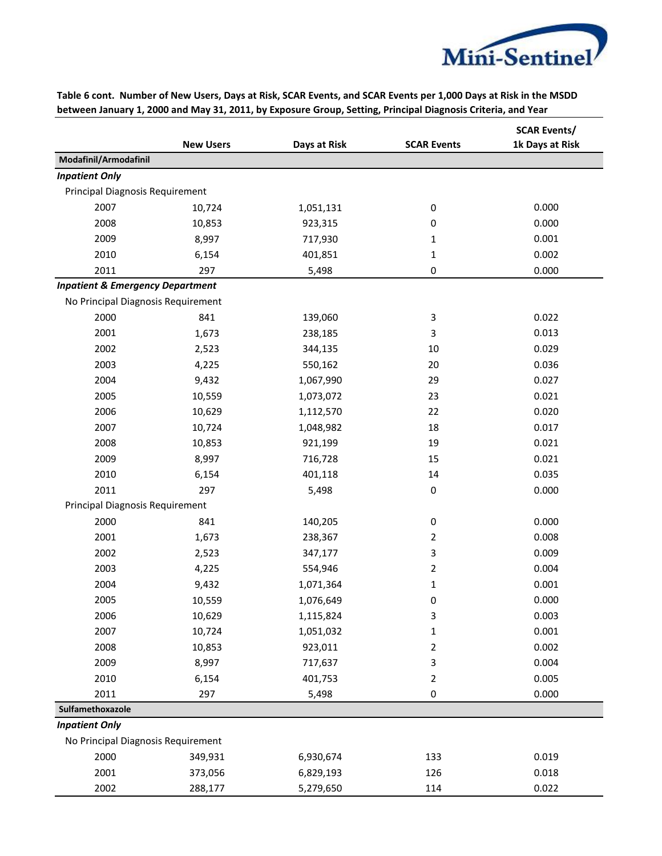

|                                             | <b>New Users</b> | Days at Risk | <b>SCAR Events</b> | <b>SCAR Events/</b><br>1k Days at Risk |
|---------------------------------------------|------------------|--------------|--------------------|----------------------------------------|
| Modafinil/Armodafinil                       |                  |              |                    |                                        |
| <b>Inpatient Only</b>                       |                  |              |                    |                                        |
| Principal Diagnosis Requirement             |                  |              |                    |                                        |
| 2007                                        | 10,724           | 1,051,131    | $\pmb{0}$          | 0.000                                  |
| 2008                                        | 10,853           | 923,315      | 0                  | 0.000                                  |
| 2009                                        | 8,997            | 717,930      | 1                  | 0.001                                  |
| 2010                                        | 6,154            | 401,851      | 1                  | 0.002                                  |
| 2011                                        | 297              | 5,498        | 0                  | 0.000                                  |
| <b>Inpatient &amp; Emergency Department</b> |                  |              |                    |                                        |
| No Principal Diagnosis Requirement          |                  |              |                    |                                        |
| 2000                                        | 841              | 139,060      | 3                  | 0.022                                  |
| 2001                                        | 1,673            | 238,185      | 3                  | 0.013                                  |
| 2002                                        | 2,523            | 344,135      | 10                 | 0.029                                  |
| 2003                                        | 4,225            | 550,162      | 20                 | 0.036                                  |
| 2004                                        | 9,432            | 1,067,990    | 29                 | 0.027                                  |
| 2005                                        | 10,559           | 1,073,072    | 23                 | 0.021                                  |
| 2006                                        | 10,629           | 1,112,570    | 22                 | 0.020                                  |
| 2007                                        | 10,724           | 1,048,982    | 18                 | 0.017                                  |
| 2008                                        | 10,853           | 921,199      | 19                 | 0.021                                  |
| 2009                                        | 8,997            | 716,728      | 15                 | 0.021                                  |
| 2010                                        | 6,154            | 401,118      | 14                 | 0.035                                  |
| 2011                                        | 297              | 5,498        | $\pmb{0}$          | 0.000                                  |
| Principal Diagnosis Requirement             |                  |              |                    |                                        |
| 2000                                        | 841              | 140,205      | 0                  | 0.000                                  |
| 2001                                        | 1,673            | 238,367      | 2                  | 0.008                                  |
| 2002                                        | 2,523            | 347,177      | 3                  | 0.009                                  |
| 2003                                        | 4,225            | 554,946      | 2                  | 0.004                                  |
| 2004                                        | 9,432            | 1,071,364    | 1                  | 0.001                                  |
| 2005                                        | 10,559           | 1,076,649    | 0                  | 0.000                                  |
| 2006                                        | 10,629           | 1,115,824    | 3                  | 0.003                                  |
| 2007                                        | 10,724           | 1,051,032    | $\mathbf 1$        | 0.001                                  |
| 2008                                        | 10,853           | 923,011      | $\overline{2}$     | 0.002                                  |
| 2009                                        | 8,997            | 717,637      | 3                  | 0.004                                  |
| 2010                                        | 6,154            | 401,753      | $\overline{2}$     | 0.005                                  |
| 2011                                        | 297              | 5,498        | $\pmb{0}$          | 0.000                                  |
| Sulfamethoxazole                            |                  |              |                    |                                        |
| <b>Inpatient Only</b>                       |                  |              |                    |                                        |
| No Principal Diagnosis Requirement          |                  |              |                    |                                        |
| 2000                                        | 349,931          | 6,930,674    | 133                | 0.019                                  |
| 2001                                        | 373,056          | 6,829,193    | 126                | 0.018                                  |
| 2002                                        | 288,177          | 5,279,650    | 114                | 0.022                                  |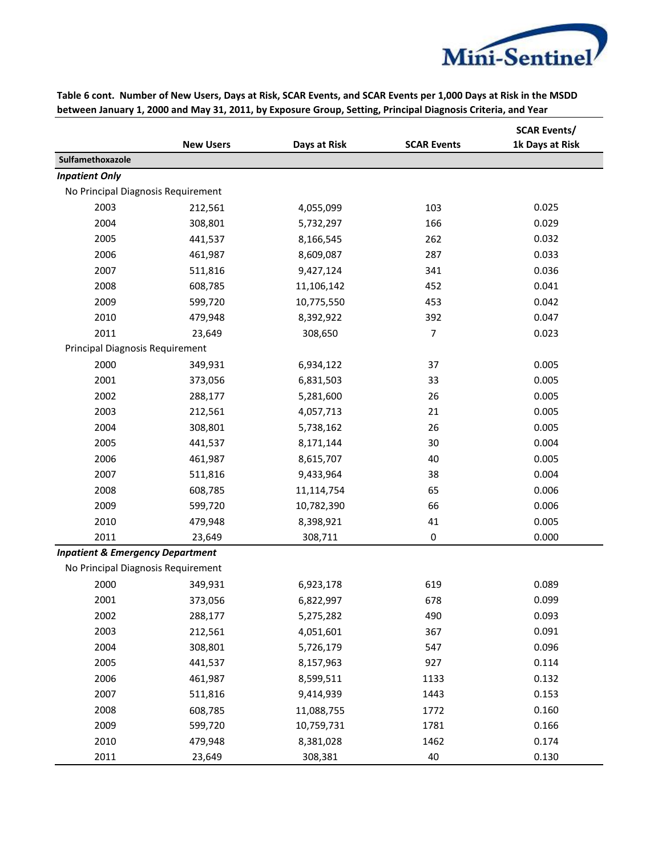

|                                             | <b>New Users</b> | Days at Risk | <b>SCAR Events</b> | <b>SCAR Events/</b><br>1k Days at Risk |
|---------------------------------------------|------------------|--------------|--------------------|----------------------------------------|
| Sulfamethoxazole                            |                  |              |                    |                                        |
| <b>Inpatient Only</b>                       |                  |              |                    |                                        |
| No Principal Diagnosis Requirement          |                  |              |                    |                                        |
| 2003                                        | 212,561          | 4,055,099    | 103                | 0.025                                  |
| 2004                                        | 308,801          | 5,732,297    | 166                | 0.029                                  |
| 2005                                        | 441,537          | 8,166,545    | 262                | 0.032                                  |
| 2006                                        | 461,987          | 8,609,087    | 287                | 0.033                                  |
| 2007                                        | 511,816          | 9,427,124    | 341                | 0.036                                  |
| 2008                                        | 608,785          | 11,106,142   | 452                | 0.041                                  |
| 2009                                        | 599,720          | 10,775,550   | 453                | 0.042                                  |
| 2010                                        | 479,948          | 8,392,922    | 392                | 0.047                                  |
| 2011                                        | 23,649           | 308,650      | 7                  | 0.023                                  |
| <b>Principal Diagnosis Requirement</b>      |                  |              |                    |                                        |
| 2000                                        | 349,931          | 6,934,122    | 37                 | 0.005                                  |
| 2001                                        | 373,056          | 6,831,503    | 33                 | 0.005                                  |
| 2002                                        | 288,177          | 5,281,600    | 26                 | 0.005                                  |
| 2003                                        | 212,561          | 4,057,713    | 21                 | 0.005                                  |
| 2004                                        | 308,801          | 5,738,162    | 26                 | 0.005                                  |
| 2005                                        | 441,537          | 8,171,144    | 30                 | 0.004                                  |
| 2006                                        | 461,987          | 8,615,707    | 40                 | 0.005                                  |
| 2007                                        | 511,816          | 9,433,964    | 38                 | 0.004                                  |
| 2008                                        | 608,785          | 11,114,754   | 65                 | 0.006                                  |
| 2009                                        | 599,720          | 10,782,390   | 66                 | 0.006                                  |
| 2010                                        | 479,948          | 8,398,921    | 41                 | 0.005                                  |
| 2011                                        | 23,649           | 308,711      | $\pmb{0}$          | 0.000                                  |
| <b>Inpatient &amp; Emergency Department</b> |                  |              |                    |                                        |
| No Principal Diagnosis Requirement          |                  |              |                    |                                        |
| 2000                                        | 349,931          | 6,923,178    | 619                | 0.089                                  |
| 2001                                        | 373,056          | 6,822,997    | 678                | 0.099                                  |
| 2002                                        | 288,177          | 5,275,282    | 490                | 0.093                                  |
| 2003                                        | 212,561          | 4,051,601    | 367                | 0.091                                  |
| 2004                                        | 308,801          | 5,726,179    | 547                | 0.096                                  |
| 2005                                        | 441,537          | 8,157,963    | 927                | 0.114                                  |
| 2006                                        | 461,987          | 8,599,511    | 1133               | 0.132                                  |
| 2007                                        | 511,816          | 9,414,939    | 1443               | 0.153                                  |
| 2008                                        | 608,785          | 11,088,755   | 1772               | 0.160                                  |
| 2009                                        | 599,720          | 10,759,731   | 1781               | 0.166                                  |
| 2010                                        | 479,948          | 8,381,028    | 1462               | 0.174                                  |
| 2011                                        | 23,649           | 308,381      | 40                 | 0.130                                  |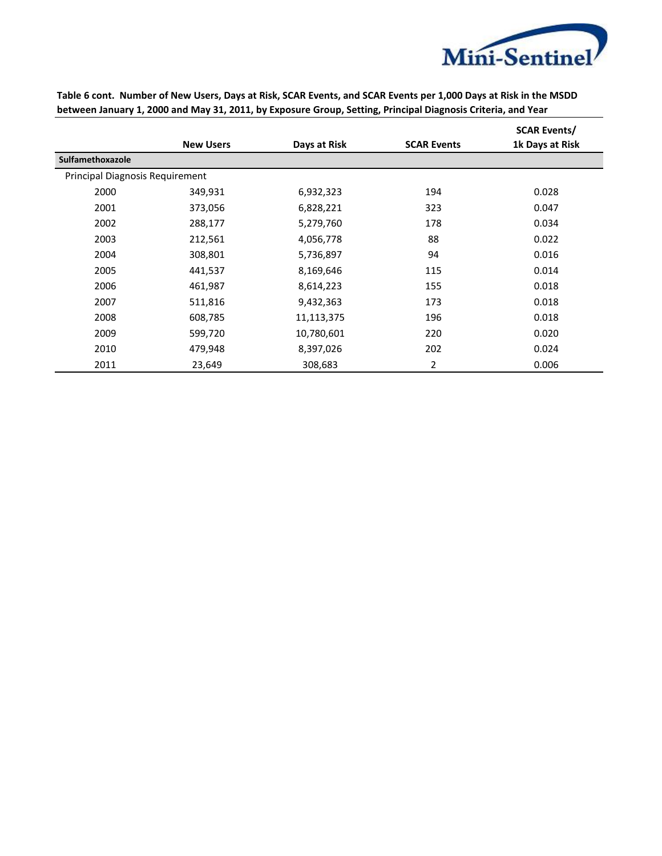

|                                        | <b>New Users</b> | Days at Risk | <b>SCAR Events</b> | <b>SCAR Events/</b><br>1k Days at Risk |  |  |
|----------------------------------------|------------------|--------------|--------------------|----------------------------------------|--|--|
| Sulfamethoxazole                       |                  |              |                    |                                        |  |  |
| <b>Principal Diagnosis Requirement</b> |                  |              |                    |                                        |  |  |
| 2000                                   | 349,931          | 6,932,323    | 194                | 0.028                                  |  |  |
| 2001                                   | 373,056          | 6,828,221    | 323                | 0.047                                  |  |  |
| 2002                                   | 288,177          | 5,279,760    | 178                | 0.034                                  |  |  |
| 2003                                   | 212,561          | 4,056,778    | 88                 | 0.022                                  |  |  |
| 2004                                   | 308,801          | 5,736,897    | 94                 | 0.016                                  |  |  |
| 2005                                   | 441,537          | 8,169,646    | 115                | 0.014                                  |  |  |
| 2006                                   | 461,987          | 8,614,223    | 155                | 0.018                                  |  |  |
| 2007                                   | 511,816          | 9,432,363    | 173                | 0.018                                  |  |  |
| 2008                                   | 608,785          | 11,113,375   | 196                | 0.018                                  |  |  |
| 2009                                   | 599,720          | 10,780,601   | 220                | 0.020                                  |  |  |
| 2010                                   | 479,948          | 8,397,026    | 202                | 0.024                                  |  |  |
| 2011                                   | 23,649           | 308,683      | 2                  | 0.006                                  |  |  |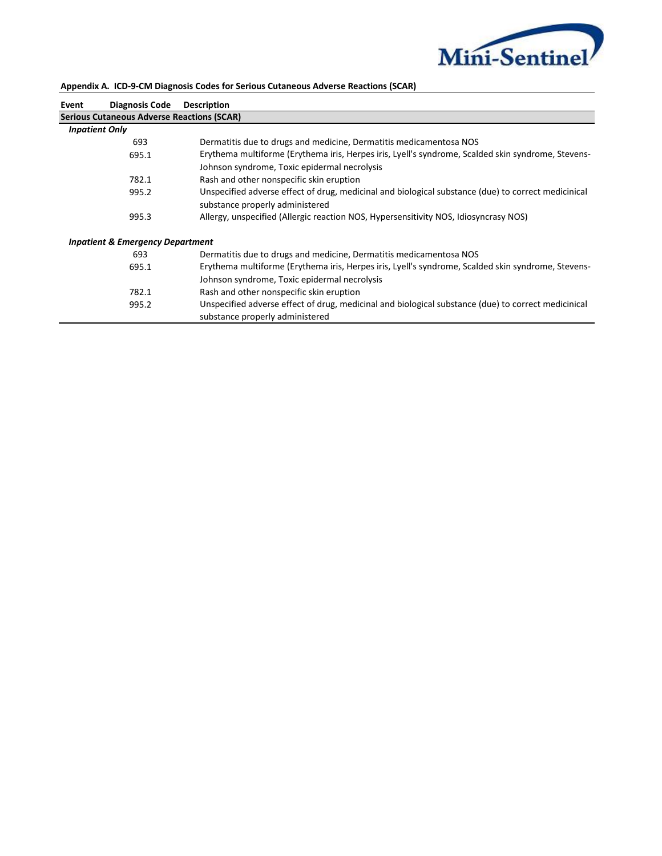

| Event                                             | Diagnosis Code                              | <b>Description</b>                                                                                                                                 |  |  |
|---------------------------------------------------|---------------------------------------------|----------------------------------------------------------------------------------------------------------------------------------------------------|--|--|
| <b>Serious Cutaneous Adverse Reactions (SCAR)</b> |                                             |                                                                                                                                                    |  |  |
| <b>Inpatient Only</b>                             |                                             |                                                                                                                                                    |  |  |
|                                                   | 693                                         | Dermatitis due to drugs and medicine, Dermatitis medicamentosa NOS                                                                                 |  |  |
|                                                   | 695.1                                       | Erythema multiforme (Erythema iris, Herpes iris, Lyell's syndrome, Scalded skin syndrome, Stevens-<br>Johnson syndrome, Toxic epidermal necrolysis |  |  |
|                                                   | 782.1                                       | Rash and other nonspecific skin eruption                                                                                                           |  |  |
|                                                   | 995.2                                       | Unspecified adverse effect of drug, medicinal and biological substance (due) to correct medicinical<br>substance properly administered             |  |  |
|                                                   | 995.3                                       | Allergy, unspecified (Allergic reaction NOS, Hypersensitivity NOS, Idiosyncrasy NOS)                                                               |  |  |
|                                                   | <b>Inpatient &amp; Emergency Department</b> |                                                                                                                                                    |  |  |
|                                                   | 693                                         | Dermatitis due to drugs and medicine, Dermatitis medicamentosa NOS                                                                                 |  |  |
|                                                   | 695.1                                       | Erythema multiforme (Erythema iris, Herpes iris, Lyell's syndrome, Scalded skin syndrome, Stevens-<br>Johnson syndrome, Toxic epidermal necrolysis |  |  |
|                                                   | 782.1                                       | Rash and other nonspecific skin eruption                                                                                                           |  |  |
|                                                   | 995.2                                       | Unspecified adverse effect of drug, medicinal and biological substance (due) to correct medicinical<br>substance properly administered             |  |  |
|                                                   |                                             |                                                                                                                                                    |  |  |

### **Appendix A. ICD-9-CM Diagnosis Codes for Serious Cutaneous Adverse Reactions (SCAR)**